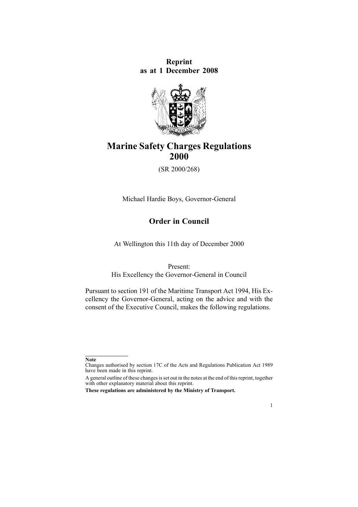**Reprint as at 1 December 2008**



# **Marine Safety Charges Regulations 2000**

(SR 2000/268)

Michael Hardie Boys, Governor-General

## **Order in Council**

At Wellington this 11th day of December 2000

Present:

His Excellency the Governor-General in Council

Pursuant to [section](http://www.legislation.govt.nz/pdflink.aspx?id=DLM336772) 191 of the Maritime Transport Act 1994, His Excellency the Governor-General, acting on the advice and with the consent of the Executive Council, makes the following regulations.

1

**Note**

Changes authorised by [section](http://www.legislation.govt.nz/pdflink.aspx?id=DLM195466) 17C of the Acts and Regulations Publication Act 1989 have been made in this reprint.

A general outline of these changes is set out in the notes at the end of this reprint, together with other explanatory material about this reprint.

**These regulations are administered by the Ministry of Transport.**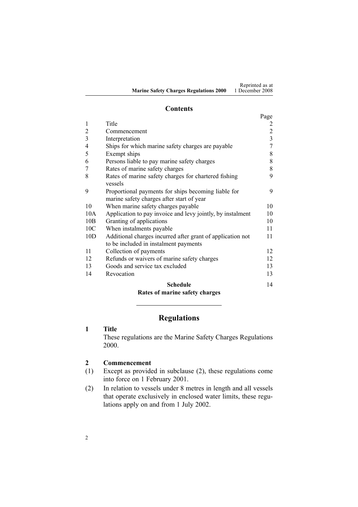#### **Contents**

|                |                                                            | Page           |
|----------------|------------------------------------------------------------|----------------|
| 1              | Title                                                      |                |
| $\overline{2}$ | Commencement                                               | $\overline{2}$ |
| $\overline{3}$ | Interpretation                                             | $\overline{3}$ |
| $\overline{4}$ | Ships for which marine safety charges are payable          | 7              |
| 5              | Exempt ships                                               | 8              |
| 6              | Persons liable to pay marine safety charges                | 8              |
| 7              | Rates of marine safety charges                             | 8              |
| 8              | Rates of marine safety charges for chartered fishing       | 9              |
|                | vessels                                                    |                |
| 9              | Proportional payments for ships becoming liable for        | 9              |
|                | marine safety charges after start of year                  |                |
| 10             | When marine safety charges payable                         | 10             |
| 10A            | Application to pay invoice and levy jointly, by instalment | 10             |
| 10B            | Granting of applications                                   | 10             |
| 10C            | When instalments payable                                   | 11             |
| 10D            | Additional charges incurred after grant of application not | 11             |
|                | to be included in instalment payments                      |                |
| 11             | Collection of payments                                     | 12             |
| 12             | Refunds or waivers of marine safety charges                | 12             |
| 13             | Goods and service tax excluded                             | 13             |
| 14             | Revocation                                                 | 13             |
|                | <b>Schedule</b>                                            | 14             |
|                | Rates of marine safety charges                             |                |

## **Regulations**

## **1 Title**

These regulations are the Marine Safety Charges Regulations 2000.

## **2 Commencement**

- (1) Except as provided in subclause (2), these regulations come into force on 1 February 2001.
- (2) In relation to vessels under 8 metres in length and all vessels that operate exclusively in enclosed water limits, these regulations apply on and from 1 July 2002.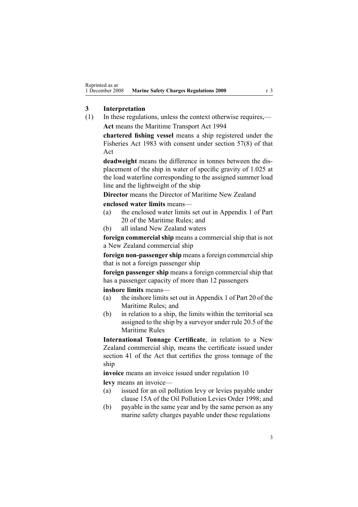## <span id="page-2-0"></span>**3 Interpretation**

(1) In these regulations, unless the context otherwise requires,— **Act** means the Maritime [Transport](http://www.legislation.govt.nz/pdflink.aspx?id=DLM334659) Act 1994

**chartered fishing vessel** means <sup>a</sup> ship registered under the [Fisheries](http://www.legislation.govt.nz/pdflink.aspx?id=DLM66581) Act 1983 with consent under [section](http://www.legislation.govt.nz/pdflink.aspx?id=DLM69445) 57(8) of that Act

**deadweight** means the difference in tonnes between the displacement of the ship in water of specific gravity of 1.025 at the load waterline corresponding to the assigned summer load line and the lightweight of the ship

**Director** means the Director of Maritime New Zealand

**enclosed water limits** means—

- (a) the enclosed water limits set out in Appendix 1 of Part 20 of the Maritime Rules; and
- (b) all inland New Zealand waters

**foreign commercial ship** means <sup>a</sup> commercial ship that is not <sup>a</sup> New Zealand commercial ship

**foreign non-passenger ship** means <sup>a</sup> foreign commercialship that is not <sup>a</sup> foreign passenger ship

**foreign passenger ship** means <sup>a</sup> foreign commercial ship that has <sup>a</sup> passenger capacity of more than 12 passengers

**inshore limits** means—

- (a) the inshore limits set out in Appendix 1 of Part 20 of the Maritime Rules; and
- (b) in relation to <sup>a</sup> ship, the limits within the territorial sea assigned to the ship by <sup>a</sup> surveyor under rule 20.5 of the Maritime Rules

**International Tonnage Certificate**, in relation to <sup>a</sup> New Zealand commercial ship, means the certificate issued under [section](http://www.legislation.govt.nz/pdflink.aspx?id=DLM335706) 41 of the Act that certifies the gross tonnage of the ship

**invoice** means an invoice issued under regu[lation](#page-9-0) 10 **levy** means an invoice—

- (a) issued for an oil pollution levy or levies payable under [clause](http://www.legislation.govt.nz/pdflink.aspx?id=DLM265415) 15A of the Oil Pollution Levies Order 1998; and
- (b) payable in the same year and by the same person as any marine safety charges payable under these regulations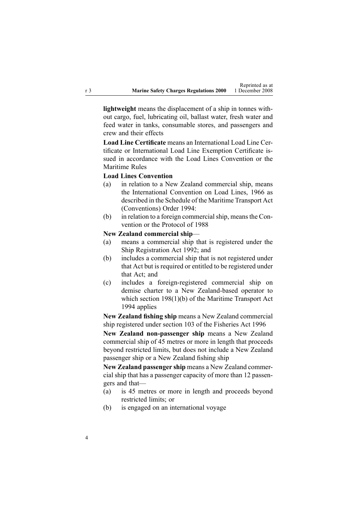**lightweight** means the displacement of <sup>a</sup> ship in tonnes without cargo, fuel, lubricating oil, ballast water, fresh water and feed water in tanks, consumable stores, and passengers and crew and their effects

**Load Line Certificate** means an International Load Line Certificate or International Load Line Exemption Certificate issued in accordance with the Load Lines Convention or the Maritime Rules

#### **Load Lines Convention**

- (a) in relation to <sup>a</sup> New Zealand commercial ship, means the International Convention on Load Lines, 1966 as described in the [Schedule](http://www.legislation.govt.nz/pdflink.aspx?id=DLM197274) of the Maritime Transport Act (Conventions) Order 1994:
- (b) in relation to a foreign commercial ship, means the Convention or the Protocol of 1988

#### **New Zealand commercial ship**—

- (a) means <sup>a</sup> commercial ship that is registered under the Ship [Registration](http://www.legislation.govt.nz/pdflink.aspx?id=DLM275026) Act 1992; and
- (b) includes <sup>a</sup> commercial ship that is not registered under that Act but is required or entitled to be registered under that Act; and
- (c) includes <sup>a</sup> foreign-registered commercial ship on demise charter to <sup>a</sup> New Zealand-based operator to which section [198\(1\)\(b\)](http://www.legislation.govt.nz/pdflink.aspx?id=DLM336787) of the Maritime Transport Act 1994 applies

**New Zealand fishing ship** means <sup>a</sup> New Zealand commercial ship registered under [section](http://www.legislation.govt.nz/pdflink.aspx?id=DLM396970) 103 of the Fisheries Act 1996

**New Zealand non-passenger ship** means <sup>a</sup> New Zealand commercial ship of 45 metres or more in length that proceeds beyond restricted limits, but does not include <sup>a</sup> New Zealand passenger ship or <sup>a</sup> New Zealand fishing ship

**New Zealand passenger ship** means <sup>a</sup> New Zealand commercial ship that has <sup>a</sup> passenger capacity of more than 12 passengers and that—

- (a) is 45 metres or more in length and proceeds beyond restricted limits; or
- (b) is engaged on an international voyage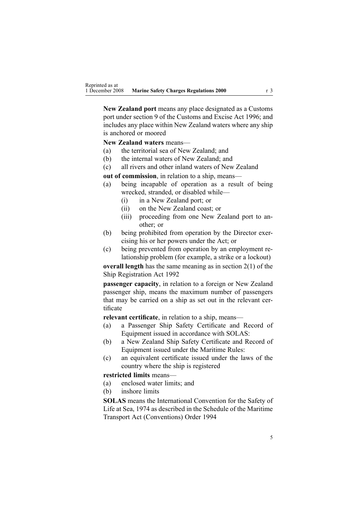**New Zealand por<sup>t</sup>** means any place designated as <sup>a</sup> Customs por<sup>t</sup> under [section](http://www.legislation.govt.nz/pdflink.aspx?id=DLM378158) 9 of the Customs and Excise Act 1996; and includes any place within New Zealand waters where any ship is anchored or moored

**New Zealand waters** means—

- (a) the territorial sea of New Zealand; and
- (b) the internal waters of New Zealand; and
- (c) all rivers and other inland waters of New Zealand

**out of commission**, in relation to <sup>a</sup> ship, means—

- (a) being incapable of operation as <sup>a</sup> result of being wrecked, stranded, or disabled while—
	- (i) in <sup>a</sup> New Zealand port; or
	- (ii) on the New Zealand coast; or
	- (iii) proceeding from one New Zealand por<sup>t</sup> to another; or
- (b) being prohibited from operation by the Director exercising his or her powers under the Act; or
- (c) being prevented from operation by an employment relationship problem (for example, <sup>a</sup> strike or <sup>a</sup> lockout)

**overall length** has the same meaning as in [section](http://www.legislation.govt.nz/pdflink.aspx?id=DLM275032) 2(1) of the Ship Registration Act 1992

**passenger capacity**, in relation to <sup>a</sup> foreign or New Zealand passenger ship, means the maximum number of passengers that may be carried on <sup>a</sup> ship as set out in the relevant certificate

**relevant certificate**, in relation to <sup>a</sup> ship, means—

- (a) <sup>a</sup> Passenger Ship Safety Certificate and Record of Equipment issued in accordance with SOLAS:
- (b) <sup>a</sup> New Zealand Ship Safety Certificate and Record of Equipment issued under the Maritime Rules:
- (c) an equivalent certificate issued under the laws of the country where the ship is registered

#### **restricted limits** means—

- (a) enclosed water limits; and
- (b) inshore limits

**SOLAS** means the International Convention for the Safety of Life at Sea, 1974 as described in the [Schedule](http://www.legislation.govt.nz/pdflink.aspx?id=DLM197274) of the Maritime Transport Act (Conventions) Order 1994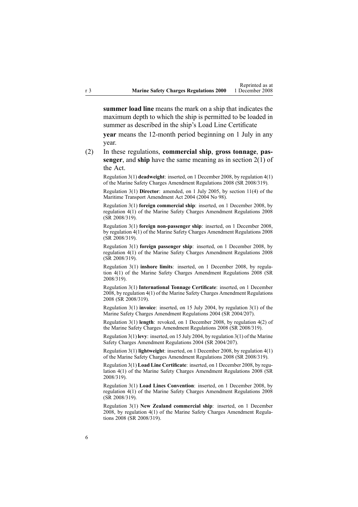**summer load line** means the mark on <sup>a</sup> ship that indicates the maximum depth to which the ship is permitted to be loaded in summer as described in the ship's Load Line Certificate

**year** means the 12-month period beginning on 1 July in any year.

(2) In these regulations, **commercial ship**, **gross tonnage**, **passenger**, and **ship** have the same meaning as in [section](http://www.legislation.govt.nz/pdflink.aspx?id=DLM334667) 2(1) of the Act.

Regulation 3(1) **deadweight**: inserted, on 1 December 2008, by regu[lation](http://www.legislation.govt.nz/pdflink.aspx?id=DLM1625607) 4(1) of the Marine Safety Charges Amendment Regulations 2008 (SR 2008/319).

Regulation 3(1) **Director**: amended, on 1 July 2005, by [section](http://www.legislation.govt.nz/pdflink.aspx?id=DLM322600) 11(4) of the Maritime Transport Amendment Act 2004 (2004 No 98).

Regulation 3(1) **foreign commercial ship**: inserted, on 1 December 2008, by regu[lation](http://www.legislation.govt.nz/pdflink.aspx?id=DLM1625607) 4(1) of the Marine Safety Charges Amendment Regulations 2008 (SR 2008/319).

Regulation 3(1) **foreign non-passenger ship**: inserted, on 1 December 2008, by regu[lation](http://www.legislation.govt.nz/pdflink.aspx?id=DLM1625607) 4(1) of the Marine Safety Charges Amendment Regulations 2008 (SR 2008/319).

Regulation 3(1) **foreign passenger ship**: inserted, on 1 December 2008, by regu[lation](http://www.legislation.govt.nz/pdflink.aspx?id=DLM1625607) 4(1) of the Marine Safety Charges Amendment Regulations 2008 (SR 2008/319).

Regulation 3(1) **inshore limits**: inserted, on 1 December 2008, by [regu](http://www.legislation.govt.nz/pdflink.aspx?id=DLM1625607)lation [4\(1\)](http://www.legislation.govt.nz/pdflink.aspx?id=DLM1625607) of the Marine Safety Charges Amendment Regulations 2008 (SR 2008/319).

Regulation 3(1) **International Tonnage Certificate**: inserted, on 1 December 2008, by regu[lation](http://www.legislation.govt.nz/pdflink.aspx?id=DLM1625607) 4(1) of the Marine Safety Charges Amendment Regulations 2008 (SR 2008/319).

Regulation 3(1) **invoice**: inserted, on 15 July 2004, by regu[lation](http://www.legislation.govt.nz/pdflink.aspx?id=DLM272530) 3(1) of the Marine Safety Charges Amendment Regulations 2004 (SR 2004/207).

Regulation 3(1) **length**: revoked, on 1 December 2008, by regu[lation](http://www.legislation.govt.nz/pdflink.aspx?id=DLM1625607) 4(2) of the Marine Safety Charges Amendment Regulations 2008 (SR 2008/319).

Regulation 3(1) **levy**: inserted, on 15 July 2004, by regu[lation](http://www.legislation.govt.nz/pdflink.aspx?id=DLM272530) 3(1) of the Marine Safety Charges Amendment Regulations 2004 (SR 2004/207).

Regulation 3(1) **lightweight**: inserted, on 1 December 2008, by regu[lation](http://www.legislation.govt.nz/pdflink.aspx?id=DLM1625607) 4(1) of the Marine Safety Charges Amendment Regulations 2008 (SR 2008/319).

Regulation 3(1) **Load Line Certificate**: inserted, on 1 December 2008, by [regu](http://www.legislation.govt.nz/pdflink.aspx?id=DLM1625607)[lation](http://www.legislation.govt.nz/pdflink.aspx?id=DLM1625607) 4(1) of the Marine Safety Charges Amendment Regulations 2008 (SR 2008/319).

Regulation 3(1) **Load Lines Convention**: inserted, on 1 December 2008, by regu[lation](http://www.legislation.govt.nz/pdflink.aspx?id=DLM1625607) 4(1) of the Marine Safety Charges Amendment Regulations 2008 (SR 2008/319).

Regulation 3(1) **New Zealand commercial ship**: inserted, on 1 December 2008, by regu[lation](http://www.legislation.govt.nz/pdflink.aspx?id=DLM1625607) 4(1) of the Marine Safety Charges Amendment Regulations 2008 (SR 2008/319).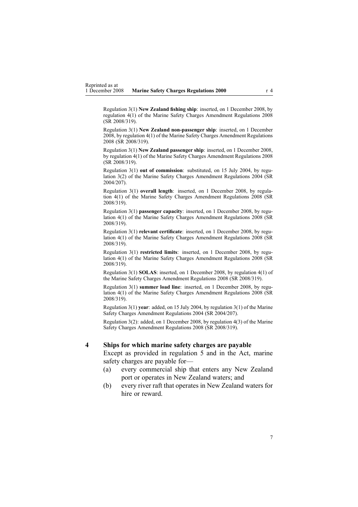<span id="page-6-0"></span>Regulation 3(1) **New Zealand fishing ship**: inserted, on 1 December 2008, by regu[lation](http://www.legislation.govt.nz/pdflink.aspx?id=DLM1625607) 4(1) of the Marine Safety Charges Amendment Regulations 2008 (SR 2008/319).

Regulation 3(1) **New Zealand non-passenger ship**: inserted, on 1 December 2008, by regu[lation](http://www.legislation.govt.nz/pdflink.aspx?id=DLM1625607) 4(1) of the Marine Safety Charges Amendment Regulations 2008 (SR 2008/319).

Regulation 3(1) **New Zealand passenger ship**: inserted, on 1 December 2008, by regu[lation](http://www.legislation.govt.nz/pdflink.aspx?id=DLM1625607) 4(1) of the Marine Safety Charges Amendment Regulations 2008 (SR 2008/319).

Regulation 3(1) **out of commission**: substituted, on 15 July 2004, by [regu](http://www.legislation.govt.nz/pdflink.aspx?id=DLM272530)[lation](http://www.legislation.govt.nz/pdflink.aspx?id=DLM272530) 3(2) of the Marine Safety Charges Amendment Regulations 2004 (SR 2004/207).

Regulation 3(1) **overall length**: inserted, on 1 December 2008, by [regu](http://www.legislation.govt.nz/pdflink.aspx?id=DLM1625607)lation [4\(1\)](http://www.legislation.govt.nz/pdflink.aspx?id=DLM1625607) of the Marine Safety Charges Amendment Regulations 2008 (SR 2008/319).

Regulation 3(1) **passenger capacity**: inserted, on 1 December 2008, by [regu](http://www.legislation.govt.nz/pdflink.aspx?id=DLM1625607)[lation](http://www.legislation.govt.nz/pdflink.aspx?id=DLM1625607) 4(1) of the Marine Safety Charges Amendment Regulations 2008 (SR 2008/319).

Regulation 3(1) **relevant certificate**: inserted, on 1 December 2008, by [regu](http://www.legislation.govt.nz/pdflink.aspx?id=DLM1625607)[lation](http://www.legislation.govt.nz/pdflink.aspx?id=DLM1625607) 4(1) of the Marine Safety Charges Amendment Regulations 2008 (SR 2008/319).

Regulation 3(1) **restricted limits**: inserted, on 1 December 2008, by [regu](http://www.legislation.govt.nz/pdflink.aspx?id=DLM1625607)[lation](http://www.legislation.govt.nz/pdflink.aspx?id=DLM1625607) 4(1) of the Marine Safety Charges Amendment Regulations 2008 (SR 2008/319).

Regulation 3(1) **SOLAS**: inserted, on 1 December 2008, by regu[lation](http://www.legislation.govt.nz/pdflink.aspx?id=DLM1625607) 4(1) of the Marine Safety Charges Amendment Regulations 2008 (SR 2008/319).

Regulation 3(1) **summer load line**: inserted, on 1 December 2008, by [regu](http://www.legislation.govt.nz/pdflink.aspx?id=DLM1625607)[lation](http://www.legislation.govt.nz/pdflink.aspx?id=DLM1625607) 4(1) of the Marine Safety Charges Amendment Regulations 2008 (SR 2008/319).

Regulation 3(1) **year**: added, on 15 July 2004, by regu[lation](http://www.legislation.govt.nz/pdflink.aspx?id=DLM272530) 3(1) of the Marine Safety Charges Amendment Regulations 2004 (SR 2004/207).

Regulation 3(2): added, on 1 December 2008, by regu[lation](http://www.legislation.govt.nz/pdflink.aspx?id=DLM1625607) 4(3) of the Marine Safety Charges Amendment Regulations 2008 (SR 2008/319).

#### **4 Ships for which marine safety charges are payable**

Except as provided in regu[lation](#page-7-0) 5 and in the Act, marine safety charges are payable for—

- (a) every commercial ship that enters any New Zealand por<sup>t</sup> or operates in New Zealand waters; and
- (b) every river raft that operates in New Zealand waters for hire or reward.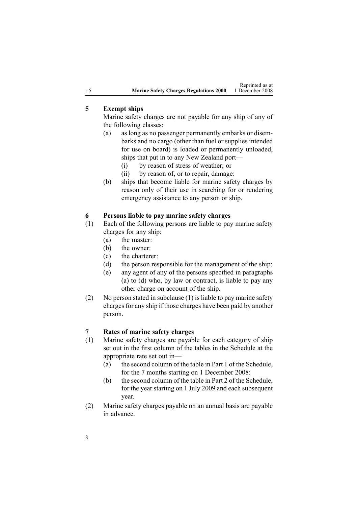## <span id="page-7-0"></span>**5 Exempt ships**

Marine safety charges are not payable for any ship of any of the following classes:

- (a) as long as no passenger permanently embarks or disembarks and no cargo (other than fuel or supplies intended for use on board) is loaded or permanently unloaded, ships that pu<sup>t</sup> in to any New Zealand port—
	- (i) by reason of stress of weather; or
	- (ii) by reason of, or to repair, damage:
- (b) ships that become liable for marine safety charges by reason only of their use in searching for or rendering emergency assistance to any person or ship.

## **6 Persons liable to pay marine safety charges**

- (1) Each of the following persons are liable to pay marine safety charges for any ship:
	- (a) the master:
	- (b) the owner:
	- (c) the charterer:
	- (d) the person responsible for the managemen<sup>t</sup> of the ship:
	- (e) any agen<sup>t</sup> of any of the persons specified in paragraphs (a) to (d) who, by law or contract, is liable to pay any other charge on account of the ship.
- (2) No person stated in subclause (1) is liable to pay marine safety charges for any ship if those charges have been paid by another person.

## **7 Rates of marine safety charges**

- (1) Marine safety charges are payable for each category of ship set out in the first column of the tables in the [Schedule](#page-13-0) at the appropriate rate set out in—
	- (a) the second column of the table in [Part](#page-13-0) 1 of the Schedule, for the 7 months starting on 1 December 2008:
	- (b) the second column of the table in [Part](#page-14-0) 2 of the Schedule, for the year starting on 1 July 2009 and each subsequent year.
- (2) Marine safety charges payable on an annual basis are payable in advance.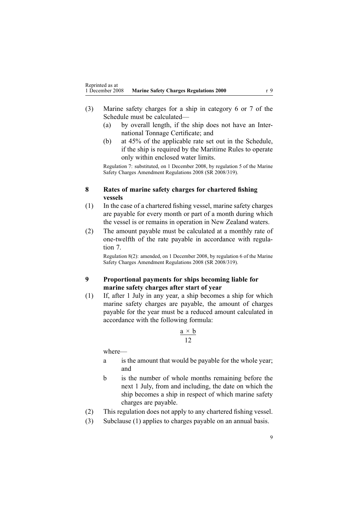- <span id="page-8-0"></span>(3) Marine safety charges for <sup>a</sup> ship in category 6 or 7 of the [Schedule](#page-13-0) must be calculated—
	- (a) by overall length, if the ship does not have an International Tonnage Certificate; and
	- (b) at 45% of the applicable rate set out in the [Schedule](#page-13-0), if the ship is required by the Maritime Rules to operate only within enclosed water limits.

Regulation 7: substituted, on 1 December 2008, by regu[lation](http://www.legislation.govt.nz/pdflink.aspx?id=DLM1625647) 5 of the Marine Safety Charges Amendment Regulations 2008 (SR 2008/319).

### **8 Rates of marine safety charges for chartered fishing vessels**

- (1) In the case of <sup>a</sup> chartered fishing vessel, marine safety charges are payable for every month or par<sup>t</sup> of <sup>a</sup> month during which the vessel is or remains in operation in New Zealand waters.
- (2) The amount payable must be calculated at <sup>a</sup> monthly rate of one-twelfth of the rate payable in accordance with [regu](#page-7-0)la[tion](#page-7-0) 7.

Regulation 8(2): amended, on 1 December 2008, by regu[lation](http://www.legislation.govt.nz/pdflink.aspx?id=DLM1625649) 6 of the Marine Safety Charges Amendment Regulations 2008 (SR 2008/319).

## **9 Proportional payments for ships becoming liable for marine safety charges after start of year**

(1) If, after 1 July in any year, <sup>a</sup> ship becomes <sup>a</sup> ship for which marine safety charges are payable, the amount of charges payable for the year must be <sup>a</sup> reduced amount calculated in accordance with the following formula:

$$
\frac{\mathbf{a} \times \mathbf{b}}{12}
$$

where—

- <sup>a</sup> is the amount that would be payable for the whole year; and
- b is the number of whole months remaining before the next 1 July, from and including, the date on which the ship becomes <sup>a</sup> ship in respec<sup>t</sup> of which marine safety charges are payable.
- (2) This regulation does not apply to any chartered fishing vessel.
- (3) Subclause (1) applies to charges payable on an annual basis.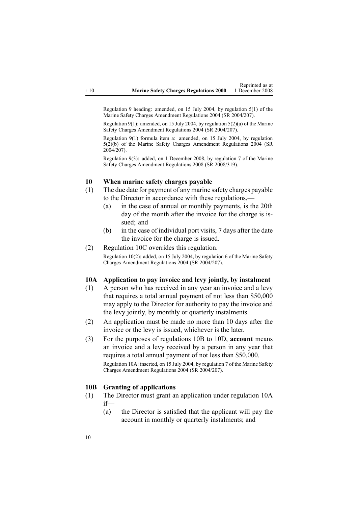<span id="page-9-0"></span>Regulation 9 heading: amended, on 15 July 2004, by regu[lation](http://www.legislation.govt.nz/pdflink.aspx?id=DLM272540) 5(1) of the Marine Safety Charges Amendment Regulations 2004 (SR 2004/207).

Regulation 9(1): amended, on 15 July 2004, by regulation [5\(2\)\(a\)](http://www.legislation.govt.nz/pdflink.aspx?id=DLM272540) of the Marine Safety Charges Amendment Regulations 2004 (SR 2004/207).

Regulation 9(1) formula item a: amended, on 15 July 2004, by regu[lation](http://www.legislation.govt.nz/pdflink.aspx?id=DLM272540) [5\(2\)\(b\)](http://www.legislation.govt.nz/pdflink.aspx?id=DLM272540) of the Marine Safety Charges Amendment Regulations 2004 (SR 2004/207).

Regulation 9(3): added, on 1 December 2008, by regu[lation](http://www.legislation.govt.nz/pdflink.aspx?id=DLM1625650) 7 of the Marine Safety Charges Amendment Regulations 2008 (SR 2008/319).

## **10 When marine safety charges payable**

- (1) The due date for paymen<sup>t</sup> of any marine safety charges payable to the Director in accordance with these regulations,—
	- (a) in the case of annual or monthly payments, is the 20th day of the month after the invoice for the charge is issued: and
	- (b) in the case of individual por<sup>t</sup> visits, 7 days after the date the invoice for the charge is issued.

#### (2) [Regulation](#page-10-0) 10C overrides this regulation.

Regulation 10(2): added, on 15 July 2004, by regu[lation](http://www.legislation.govt.nz/pdflink.aspx?id=DLM272541) 6 of the Marine Safety Charges Amendment Regulations 2004 (SR 2004/207).

#### **10A Application to pay invoice and levy jointly, by instalment**

- (1) A person who has received in any year an invoice and <sup>a</sup> levy that requires <sup>a</sup> total annual paymen<sup>t</sup> of not less than \$50,000 may apply to the Director for authority to pay the invoice and the levy jointly, by monthly or quarterly instalments.
- (2) An application must be made no more than 10 days after the invoice or the levy is issued, whichever is the later.
- (3) For the purposes of regulations 10B to 10D, **account** means an invoice and <sup>a</sup> levy received by <sup>a</sup> person in any year that requires <sup>a</sup> total annual paymen<sup>t</sup> of not less than \$50,000. Regulation 10A: inserted, on 15 July 2004, by regu[lation](http://www.legislation.govt.nz/pdflink.aspx?id=DLM272542) 7 of the Marine Safety Charges Amendment Regulations 2004 (SR 2004/207).

#### **10B Granting of applications**

- (1) The Director must gran<sup>t</sup> an application under regulation 10A if—
	- (a) the Director is satisfied that the applicant will pay the account in monthly or quarterly instalments; and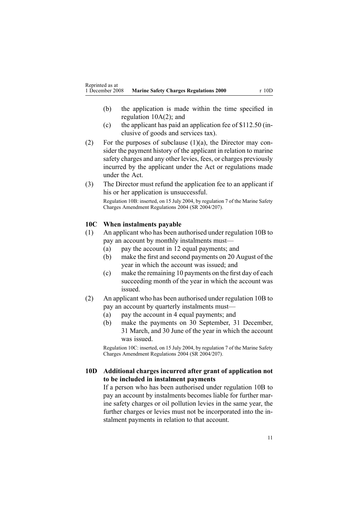- <span id="page-10-0"></span>(b) the application is made within the time specified in regulation [10A\(2\)](#page-9-0); and
- (c) the applicant has paid an application fee of \$112.50 (inclusive of goods and services tax).
- (2) For the purposes of subclause  $(1)(a)$ , the Director may consider the paymen<sup>t</sup> history of the applicant in relation to marine safety charges and any other levies, fees, or charges previously incurred by the applicant under the Act or regulations made under the Act.
- (3) The Director must refund the application fee to an applicant if his or her application is unsuccessful.

Regulation 10B: inserted, on 15 July 2004, by regu[lation](http://www.legislation.govt.nz/pdflink.aspx?id=DLM272542) 7 of the Marine Safety Charges Amendment Regulations 2004 (SR 2004/207).

#### **10C When instalments payable**

- (1) An applicant who has been authorised under regu[lation](#page-9-0) 10B to pay an account by monthly instalments must—
	- (a) pay the account in 12 equal payments; and
	- (b) make the first and second payments on 20 August of the year in which the account was issued; and
	- (c) make the remaining 10 payments on the first day of each succeeding month of the year in which the account was issued.
- (2) An applicant who has been authorised under regu[lation](#page-9-0) 10B to pay an account by quarterly instalments must—
	- (a) pay the account in 4 equal payments; and
	- (b) make the payments on 30 September, 31 December, 31 March, and 30 June of the year in which the account was issued.

Regulation 10C: inserted, on 15 July 2004, by regu[lation](http://www.legislation.govt.nz/pdflink.aspx?id=DLM272542) 7 of the Marine Safety Charges Amendment Regulations 2004 (SR 2004/207).

### **10D Additional charges incurred after grant of application not to be included in instalment payments**

If <sup>a</sup> person who has been authorised under regu[lation](#page-9-0) 10B to pay an account by instalments becomes liable for further marine safety charges or oil pollution levies in the same year, the further charges or levies must not be incorporated into the instalment payments in relation to that account.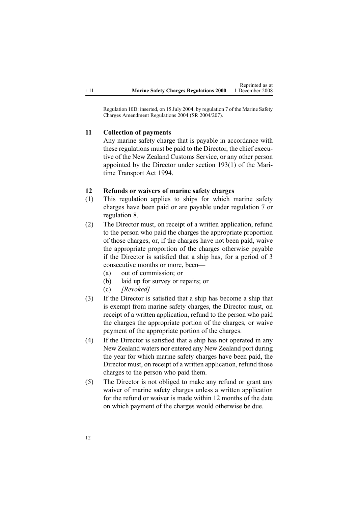<span id="page-11-0"></span>Regulation 10D: inserted, on 15 July 2004, by regu[lation](http://www.legislation.govt.nz/pdflink.aspx?id=DLM272542) 7 of the Marine Safety Charges Amendment Regulations 2004 (SR 2004/207).

#### **11 Collection of payments**

Any marine safety charge that is payable in accordance with these regulations must be paid to the Director, the chief executive of the New Zealand Customs Service, or any other person appointed by the Director under section [193\(1\)](http://www.legislation.govt.nz/pdflink.aspx?id=DLM336774) of the Maritime Transport Act 1994.

#### **12 Refunds or waivers of marine safety charges**

- (1) This regulation applies to ships for which marine safety charges have been paid or are payable under regu[lation](#page-7-0) 7 or regu[lation](#page-8-0) 8.
- (2) The Director must, on receipt of <sup>a</sup> written application, refund to the person who paid the charges the appropriate proportion of those charges, or, if the charges have not been paid, waive the appropriate proportion of the charges otherwise payable if the Director is satisfied that <sup>a</sup> ship has, for <sup>a</sup> period of 3 consecutive months or more, been—
	- (a) out of commission; or
	- (b) laid up for survey or repairs; or
	- (c) *[Revoked]*
- (3) If the Director is satisfied that <sup>a</sup> ship has become <sup>a</sup> ship that is exemp<sup>t</sup> from marine safety charges, the Director must, on receipt of <sup>a</sup> written application, refund to the person who paid the charges the appropriate portion of the charges, or waive paymen<sup>t</sup> of the appropriate portion of the charges.
- (4) If the Director is satisfied that <sup>a</sup> ship has not operated in any New Zealand waters nor entered any New Zealand por<sup>t</sup> during the year for which marine safety charges have been paid, the Director must, on receipt of <sup>a</sup> written application, refund those charges to the person who paid them.
- (5) The Director is not obliged to make any refund or gran<sup>t</sup> any waiver of marine safety charges unless <sup>a</sup> written application for the refund or waiver is made within 12 months of the date on which paymen<sup>t</sup> of the charges would otherwise be due.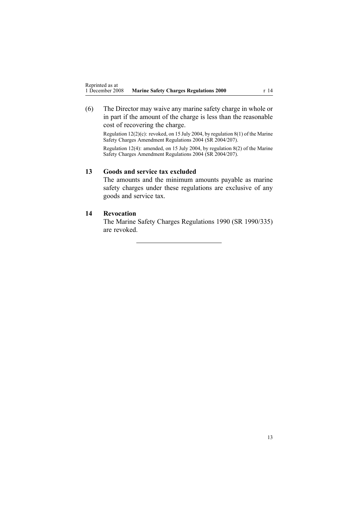<span id="page-12-0"></span>(6) The Director may waive any marine safety charge in whole or in par<sup>t</sup> if the amount of the charge is less than the reasonable cost of recovering the charge.

Regulation 12(2)(c): revoked, on 15 July 2004, by regu[lation](http://www.legislation.govt.nz/pdflink.aspx?id=DLM272547) 8(1) of the Marine Safety Charges Amendment Regulations 2004 (SR 2004/207).

Regulation 12(4): amended, on 15 July 2004, by regu[lation](http://www.legislation.govt.nz/pdflink.aspx?id=DLM272547) 8(2) of the Marine Safety Charges Amendment Regulations 2004 (SR 2004/207).

## **13 Goods and service tax excluded**

The amounts and the minimum amounts payable as marine safety charges under these regulations are exclusive of any goods and service tax.

#### **14 Revocation**

The Marine Safety Charges Regulations 1990 (SR 1990/335) are revoked.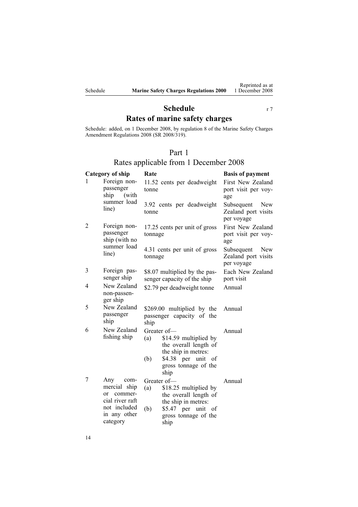## **Schedule** r [7](#page-7-0) **Rates of marine safety charges**

<span id="page-13-0"></span>Schedule: added, on 1 December 2008, by regu[lation](http://www.legislation.govt.nz/pdflink.aspx?id=DLM1625651) 8 of the Marine Safety Charges Amendment Regulations 2008 (SR 2008/319).

## Part 1

## Rates applicable from 1 December 2008

| Category of ship                                                                                      | Rate                                                                                                                                                     | <b>Basis of payment</b>                                |
|-------------------------------------------------------------------------------------------------------|----------------------------------------------------------------------------------------------------------------------------------------------------------|--------------------------------------------------------|
| Foreign non-<br>passenger<br>ship<br>(with                                                            | 11.52 cents per deadweight<br>tonne                                                                                                                      | First New Zealand<br>port visit per voy-<br>age        |
| line)                                                                                                 | 3.92 cents per deadweight<br>tonne                                                                                                                       | Subsequent<br>New<br>Zealand port visits<br>per voyage |
| passenger<br>ship (with no                                                                            | 17.25 cents per unit of gross<br>tonnage                                                                                                                 | First New Zealand<br>port visit per voy-<br>age        |
| line)                                                                                                 | 4.31 cents per unit of gross<br>tonnage                                                                                                                  | New<br>Subsequent<br>Zealand port visits<br>per voyage |
| Foreign pas-<br>senger ship                                                                           | \$8.07 multiplied by the pas-<br>senger capacity of the ship                                                                                             | Each New Zealand<br>port visit                         |
| New Zealand<br>non-passen-<br>ger ship                                                                | \$2.79 per deadweight tonne                                                                                                                              | Annual                                                 |
| New Zealand<br>passenger<br>ship                                                                      | \$269.00 multiplied by the<br>passenger capacity of the<br>ship                                                                                          | Annual                                                 |
| New Zealand<br>fishing ship                                                                           | Greater of-<br>\$14.59 multiplied by<br>(a)<br>the overall length of<br>the ship in metres:<br>\$4.38 per unit of<br>(b)<br>gross tonnage of the<br>ship | Annual                                                 |
| Any<br>com-<br>mercial ship<br>commer-<br>$\alpha$<br>cial river raft<br>not included<br>in any other | Greater of-<br>\$18.25 multiplied by<br>(a)<br>the overall length of<br>the ship in metres:<br>\$5.47 per unit of<br>(b)<br>gross tonnage of the         | Annual                                                 |
|                                                                                                       | summer load<br>Foreign non-<br>summer load<br>category                                                                                                   | ship                                                   |

14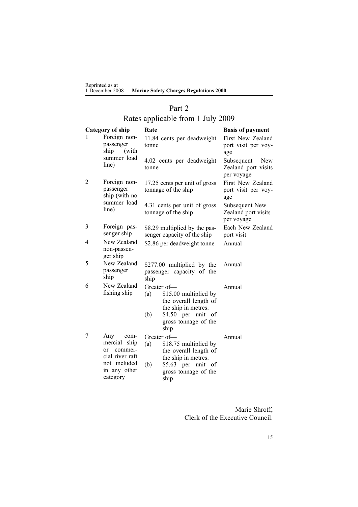<span id="page-14-0"></span>

| Reprinted as at<br>1 December 2008 | <b>Marine Safety Charges Regulations 2000</b> |
|------------------------------------|-----------------------------------------------|
|                                    |                                               |

## Part 2

# Rates applicable from 1 July 2009

| <b>Category of ship</b>                                                                                                | Rate                                                                                                                                                     | <b>Basis of payment</b>                                |  |
|------------------------------------------------------------------------------------------------------------------------|----------------------------------------------------------------------------------------------------------------------------------------------------------|--------------------------------------------------------|--|
| Foreign non-<br>passenger<br>ship<br>(with                                                                             | 11.84 cents per deadweight<br>tonne                                                                                                                      | First New Zealand<br>port visit per voy-<br>age        |  |
| line)                                                                                                                  | 4.02 cents per deadweight<br>tonne                                                                                                                       | Subsequent<br>New<br>Zealand port visits<br>per voyage |  |
| Foreign non-<br>passenger<br>ship (with no<br>summer load<br>line)                                                     | 17.25 cents per unit of gross<br>tonnage of the ship                                                                                                     | First New Zealand<br>port visit per voy-<br>age        |  |
|                                                                                                                        | 4.31 cents per unit of gross<br>tonnage of the ship                                                                                                      | Subsequent New<br>Zealand port visits<br>per voyage    |  |
| Foreign pas-<br>senger ship                                                                                            | \$8.29 multiplied by the pas-<br>senger capacity of the ship                                                                                             | Each New Zealand<br>port visit                         |  |
| New Zealand<br>non-passen-<br>ger ship                                                                                 | \$2.86 per deadweight tonne                                                                                                                              | Annual                                                 |  |
| New Zealand<br>passenger<br>ship                                                                                       | \$277.00 multiplied by the<br>passenger capacity of the                                                                                                  | Annual                                                 |  |
| New Zealand<br>fishing ship                                                                                            | Greater of-<br>\$15.00 multiplied by<br>(a)<br>the overall length of<br>the ship in metres:<br>\$4.50 per unit of<br>(b)<br>gross tonnage of the         | Annual                                                 |  |
| Any<br>com-<br>mercial ship<br>commer-<br><sub>or</sub><br>cial river raft<br>not included<br>in any other<br>category | Greater of-<br>(a)<br>\$18.75 multiplied by<br>the overall length of<br>the ship in metres:<br>(b)<br>\$5.63 per unit of<br>gross tonnage of the<br>ship | Annual                                                 |  |
|                                                                                                                        | summer load                                                                                                                                              | ship<br>ship                                           |  |

Marie Shroff, Clerk of the Executive Council.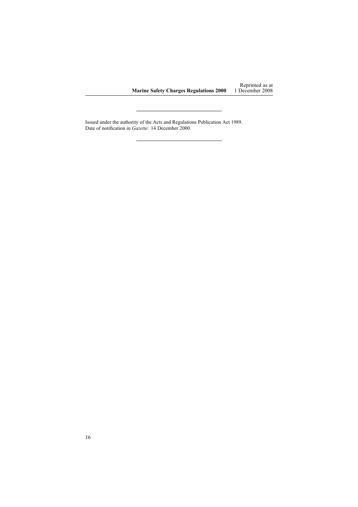Issued under the authority of the Acts and [Regulations](http://www.legislation.govt.nz/pdflink.aspx?id=DLM195097) Publication Act 1989. Date of notification in *Gazette*: 14 December 2000.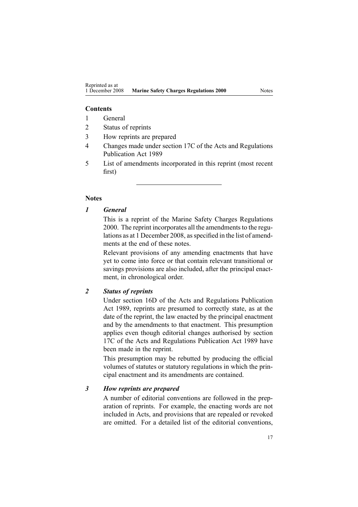### **Contents**

- 1 General
- 2 Status of reprints
- 3 How reprints are prepared
- 4 Changes made under section 17C of the Acts and Regulations Publication Act 1989
- 5 List of amendments incorporated in this reprint (most recent first)

## **Notes**

## *1 General*

This is <sup>a</sup> reprint of the Marine Safety Charges Regulations 2000. The reprint incorporates all the amendments to the regulations as at 1 December 2008, as specified in the list of amendments at the end of these notes.

Relevant provisions of any amending enactments that have ye<sup>t</sup> to come into force or that contain relevant transitional or savings provisions are also included, after the principal enactment, in chronological order.

## *2 Status of reprints*

Under [section](http://www.legislation.govt.nz/pdflink.aspx?id=DLM195439) 16D of the Acts and Regulations Publication Act 1989, reprints are presumed to correctly state, as at the date of the reprint, the law enacted by the principal enactment and by the amendments to that enactment. This presumption applies even though editorial changes authorised by [section](http://www.legislation.govt.nz/pdflink.aspx?id=DLM195466) [17C](http://www.legislation.govt.nz/pdflink.aspx?id=DLM195466) of the Acts and Regulations Publication Act 1989 have been made in the reprint.

This presumption may be rebutted by producing the official volumes of statutes or statutory regulations in which the principal enactment and its amendments are contained.

### *3 How reprints are prepared*

A number of editorial conventions are followed in the preparation of reprints. For example, the enacting words are not included in Acts, and provisions that are repealed or revoked are omitted. For <sup>a</sup> detailed list of the editorial conventions,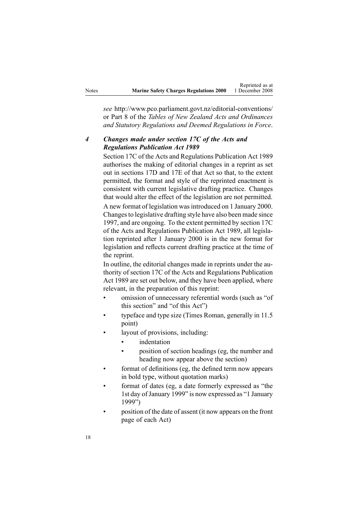|       |                                               | Reprinted as at |
|-------|-----------------------------------------------|-----------------|
| Notes | <b>Marine Safety Charges Regulations 2000</b> | 1 December 2008 |

*see* http://www.pco.parliament.govt.nz/editorial-conventions/ or Part 8 of the *Tables of New Zealand Acts and Ordinances and Statutory Regulations and Deemed Regulations in Force*.

## *4 Changes made under section 17C of the Acts and Regulations Publication Act 1989*

[Section](http://www.legislation.govt.nz/pdflink.aspx?id=DLM195466) 17C of the Acts and Regulations Publication Act 1989 authorises the making of editorial changes in <sup>a</sup> reprint as set out in [sections](http://www.legislation.govt.nz/pdflink.aspx?id=DLM195468) 17D and [17E](http://www.legislation.govt.nz/pdflink.aspx?id=DLM195470) of that Act so that, to the extent permitted, the format and style of the reprinted enactment is consistent with current legislative drafting practice. Changes that would alter the effect of the legislation are not permitted. A new format of legislation wasintroduced on 1 January 2000. Changesto legislative drafting style have also been made since 1997, and are ongoing. To the extent permitted by [section](http://www.legislation.govt.nz/pdflink.aspx?id=DLM195466) 17C of the Acts and Regulations Publication Act 1989, all legislation reprinted after 1 January 2000 is in the new format for legislation and reflects current drafting practice at the time of the reprint.

In outline, the editorial changes made in reprints under the authority of [section](http://www.legislation.govt.nz/pdflink.aspx?id=DLM195466) 17C of the Acts and Regulations Publication Act 1989 are set out below, and they have been applied, where relevant, in the preparation of this reprint:

- • omission of unnecessary referential words (such as "of this section" and "of this Act")
- • typeface and type size (Times Roman, generally in 11.5 point)
- • layout of provisions, including:
	- •indentation
	- • position of section headings (eg, the number and heading now appear above the section)
- format of definitions (eg, the defined term now appears in bold type, without quotation marks)
- • format of dates (eg, <sup>a</sup> date formerly expressed as "the 1st day of January 1999" is now expressed as "1 January 1999")
- • position of the date of assent (it now appears on the front page of each Act)

•